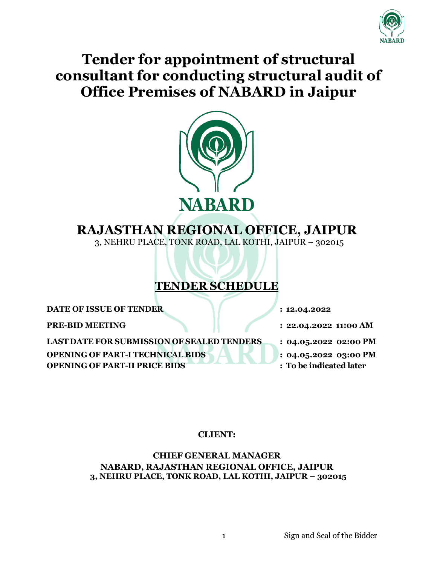

# **Tender for appointment of structural consultant for conducting structural audit of Office Premises of NABARD in Jaipur**



# **RAJASTHAN REGIONAL OFFICE, JAIPUR**

3, NEHRU PLACE, TONK ROAD, LAL KOTHI, JAIPUR – 302015

# **TENDER SCHEDULE**

**DATE OF ISSUE OF TENDER : 12.04.2022**

**PRE-BID MEETING : 22.04.2022 11:00 AM**

**LAST DATE FOR SUBMISSION OF SEALED TENDERS : 04.05.2022 02:00 PM OPENING OF PART-I TECHNICAL BIDS OPENING OF PART-II PRICE BIDS**

**: 04.05.2022 03:00 PM**

**: To be indicated later**

## **CLIENT:**

**CHIEF GENERAL MANAGER NABARD, RAJASTHAN REGIONAL OFFICE, JAIPUR 3, NEHRU PLACE, TONK ROAD, LAL KOTHI, JAIPUR – 302015**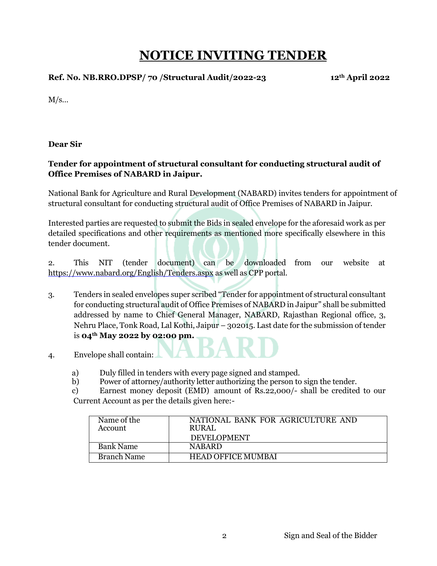# **NOTICE INVITING TENDER**

**Ref. No. NB.RRO.DPSP/ 70 /Structural Audit/2022-23 12th April 2022**

 $M/s...$ 

**Dear Sir**

## **Tender for appointment of structural consultant for conducting structural audit of Office Premises of NABARD in Jaipur.**

National Bank for Agriculture and Rural Development (NABARD) invites tenders for appointment of structural consultant for conducting structural audit of Office Premises of NABARD in Jaipur.

Interested parties are requested to submit the Bids in sealed envelope for the aforesaid work as per detailed specifications and other requirements as mentioned more specifically elsewhere in this tender document.

2. This NIT (tender document) can be downloaded from our website at <https://www.nabard.org/English/Tenders.aspx> as well as CPP portal.

- 3. Tenders in sealed envelopes super scribed "Tender for appointment of structural consultant for conducting structural audit of Office Premises of NABARD in Jaipur" shall be submitted addressed by name to Chief General Manager, NABARD, Rajasthan Regional office, 3, Nehru Place, Tonk Road, Lal Kothi, Jaipur – 302015. Last date for the submission of tender is **04th May 2022 by 02:00 pm.**
- 4. Envelope shall contain:
	- a) Duly filled in tenders with every page signed and stamped.
	- b) Power of attorney/authority letter authorizing the person to sign the tender.

c) Earnest money deposit (EMD) amount of Rs.22,000/- shall be credited to our Current Account as per the details given here:-

| Name of the<br>Account | NATIONAL BANK FOR AGRICULTURE AND<br>RURAL |
|------------------------|--------------------------------------------|
|                        | <b>DEVELOPMENT</b>                         |
| <b>Bank Name</b>       | <b>NABARD</b>                              |
| <b>Branch Name</b>     | <b>HEAD OFFICE MUMBAI</b>                  |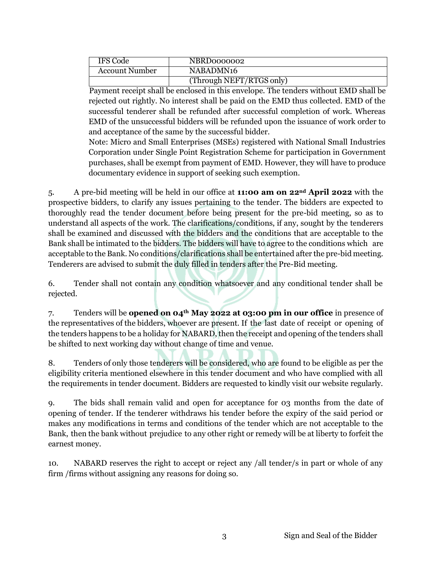| IFS Code              | NBRD0000002              |
|-----------------------|--------------------------|
| <b>Account Number</b> | NABADMN16                |
|                       | (Through NEFT/RTGS only) |

Payment receipt shall be enclosed in this envelope. The tenders without EMD shall be rejected out rightly. No interest shall be paid on the EMD thus collected. EMD of the successful tenderer shall be refunded after successful completion of work. Whereas EMD of the unsuccessful bidders will be refunded upon the issuance of work order to and acceptance of the same by the successful bidder.

Note: Micro and Small Enterprises (MSEs) registered with National Small Industries Corporation under Single Point Registration Scheme for participation in Government purchases, shall be exempt from payment of EMD. However, they will have to produce documentary evidence in support of seeking such exemption.

5. A pre-bid meeting will be held in our office at **11:00 am on 22nd April 2022** with the prospective bidders, to clarify any issues pertaining to the tender. The bidders are expected to thoroughly read the tender document before being present for the pre-bid meeting, so as to understand all aspects of the work. The clarifications/conditions, if any, sought by the tenderers shall be examined and discussed with the bidders and the conditions that are acceptable to the Bank shall be intimated to the bidders. The bidders will have to agree to the conditions which are acceptable to the Bank. No conditions/clarifications shall be entertained after the pre-bid meeting. Tenderers are advised to submit the duly filled in tenders after the Pre-Bid meeting.

6. Tender shall not contain any condition whatsoever and any conditional tender shall be rejected.

7. Tenders will be **opened on 04th May 2022 at 03:00 pm in our office** in presence of the representatives of the bidders, whoever are present. If the last date of receipt or opening of the tenders happens to be a holiday for NABARD, then the receipt and opening of the tenders shall be shifted to next working day without change of time and venue.

8. Tenders of only those tenderers will be considered, who are found to be eligible as per the eligibility criteria mentioned elsewhere in this tender document and who have complied with all the requirements in tender document. Bidders are requested to kindly visit our website regularly.

9. The bids shall remain valid and open for acceptance for 03 months from the date of opening of tender. If the tenderer withdraws his tender before the expiry of the said period or makes any modifications in terms and conditions of the tender which are not acceptable to the Bank, then the bank without prejudice to any other right or remedy will be at liberty to forfeit the earnest money.

10. NABARD reserves the right to accept or reject any /all tender/s in part or whole of any firm /firms without assigning any reasons for doing so.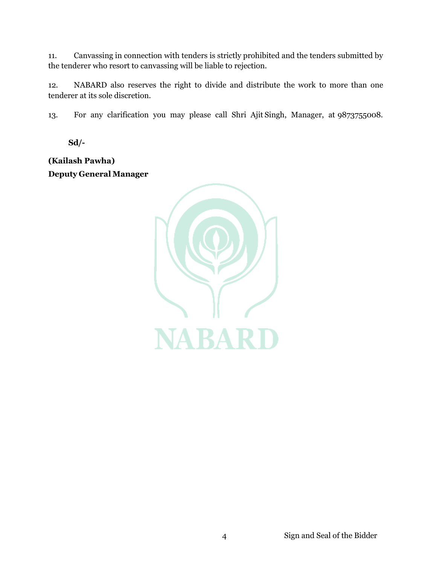11. Canvassing in connection with tenders is strictly prohibited and the tenders submitted by the tenderer who resort to canvassing will be liable to rejection.

12. NABARD also reserves the right to divide and distribute the work to more than one tenderer at its sole discretion.

13. For any clarification you may please call Shri Ajit Singh, Manager, at 9873755008.

**Sd/-**

**(Kailash Pawha) Deputy General Manager**

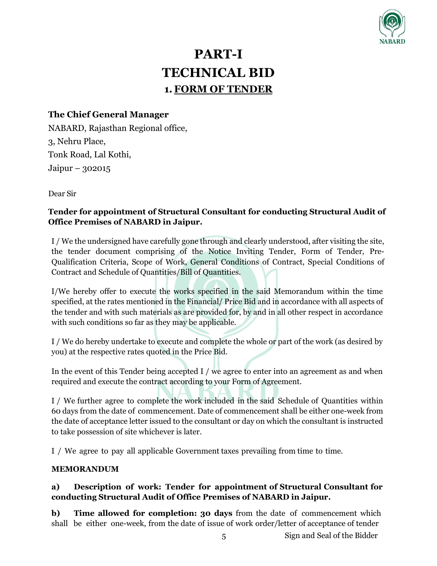

# **PART-I TECHNICAL BID 1.FORM OF TENDER**

## **The Chief General Manager**

NABARD, Rajasthan Regional office, 3, Nehru Place, Tonk Road, Lal Kothi, Jaipur – 302015

Dear Sir

## **Tender for appointment of Structural Consultant for conducting Structural Audit of Office Premises of NABARD in Jaipur.**

I / We the undersigned have carefully gone through and clearly understood, after visiting the site, the tender document comprising of the Notice Inviting Tender, Form of Tender, Pre-Qualification Criteria, Scope of Work, General Conditions of Contract, Special Conditions of Contract and Schedule of Quantities/Bill of Quantities.

I/We hereby offer to execute the works specified in the said Memorandum within the time specified, at the rates mentioned in the Financial/ Price Bid and in accordance with all aspects of the tender and with such materials as are provided for, by and in all other respect in accordance with such conditions so far as they may be applicable.

I / We do hereby undertake to execute and complete the whole or part of the work (as desired by you) at the respective rates quoted in the Price Bid.

In the event of this Tender being accepted I / we agree to enter into an agreement as and when required and execute the contract according to your Form of Agreement.

I / We further agree to complete the work included in the said Schedule of Quantities within 60 days from the date of commencement. Date of commencement shall be either one-week from the date of acceptance letter issued to the consultant or day on which the consultant is instructed to take possession of site whichever is later.

I / We agree to pay all applicable Government taxes prevailing from time to time.

#### **MEMORANDUM**

## **a) Description of work: Tender for appointment of Structural Consultant for conducting Structural Audit of Office Premises of NABARD in Jaipur.**

**b) Time allowed for completion: 30 days** from the date of commencement which shall be either one-week, from the date of issue of work order/letter of acceptance of tender

5 Sign and Seal of the Bidder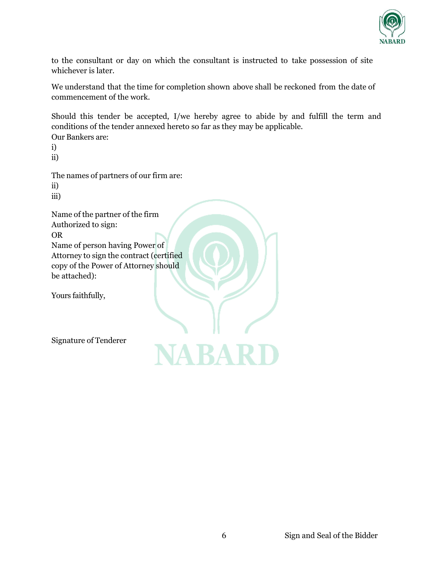

to the consultant or day on which the consultant is instructed to take possession of site whichever is later.

We understand that the time for completion shown above shall be reckoned from the date of commencement of the work.

Should this tender be accepted, I/we hereby agree to abide by and fulfill the term and conditions of the tender annexed hereto so far as they may be applicable. Our Bankers are:

i)

ii)

The names of partners of our firm are:

ii)

iii)

Name of the partner of the firm Authorized to sign: OR Name of person having Power of Attorney to sign the contract (certified copy of the Power of Attorney should be attached):

Yours faithfully,

Signature of Tenderer

**JA RA R**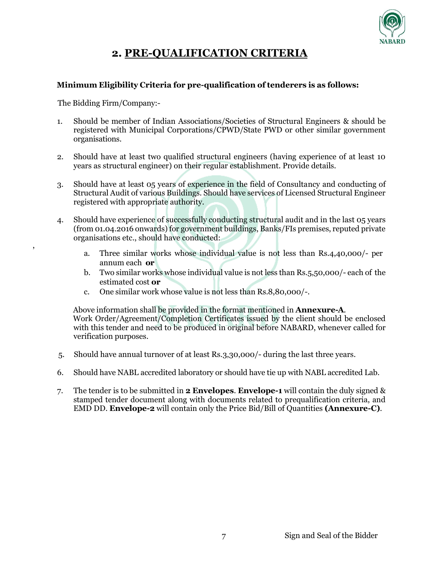

## **2. PRE-QUALIFICATION CRITERIA**

#### **Minimum Eligibility Criteria for pre-qualification of tenderers is as follows:**

The Bidding Firm/Company:-

,

- 1. Should be member of Indian Associations/Societies of Structural Engineers & should be registered with Municipal Corporations/CPWD/State PWD or other similar government organisations.
- 2. Should have at least two qualified structural engineers (having experience of at least 10 years as structural engineer) on their regular establishment. Provide details.
- 3. Should have at least 05 years of experience in the field of Consultancy and conducting of Structural Audit of various Buildings. Should have services of Licensed Structural Engineer registered with appropriate authority.
- 4. Should have experience of successfully conducting structural audit and in the last 05 years (from 01.04.2016 onwards) for government buildings, Banks/FIs premises, reputed private organisations etc., should have conducted:
	- a. Three similar works whose individual value is not less than Rs.4,40,000/- per annum each **or**
	- b. Two similar works whose individual value is not less than Rs.5,50,000/- each of the estimated cost **or**
	- c. One similar work whose value is not less than Rs.8,80,000/-.

Above information shall be provided in the format mentioned in **Annexure-A**. Work Order/Agreement/Completion Certificates issued by the client should be enclosed with this tender and need to be produced in original before NABARD, whenever called for verification purposes.

- 5. Should have annual turnover of at least Rs.3,30,000/- during the last three years.
- 6. Should have NABL accredited laboratory or should have tie up with NABL accredited Lab.
- 7. The tender is to be submitted in **2 Envelopes**. **Envelope-1** will contain the duly signed & stamped tender document along with documents related to prequalification criteria, and EMD DD. **Envelope-2** will contain only the Price Bid/Bill of Quantities **(Annexure-C)**.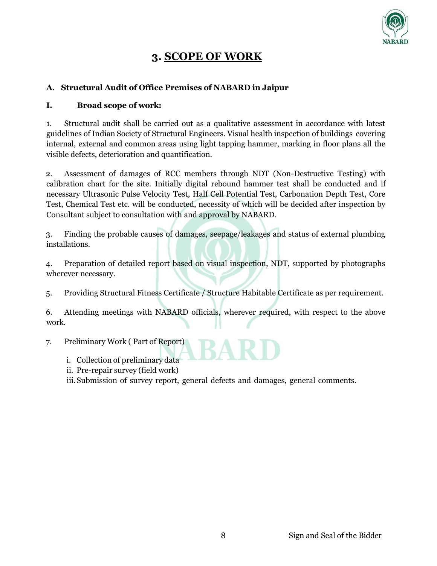

## **3. SCOPE OF WORK**

### **A. Structural Audit of Office Premises of NABARD in Jaipur**

### **I. Broad scope of work:**

1. Structural audit shall be carried out as a qualitative assessment in accordance with latest guidelines of Indian Society of Structural Engineers. Visual health inspection of buildings covering internal, external and common areas using light tapping hammer, marking in floor plans all the visible defects, deterioration and quantification.

2. Assessment of damages of RCC members through NDT (Non-Destructive Testing) with calibration chart for the site. Initially digital rebound hammer test shall be conducted and if necessary Ultrasonic Pulse Velocity Test, Half Cell Potential Test, Carbonation Depth Test, Core Test, Chemical Test etc. will be conducted, necessity of which will be decided after inspection by Consultant subject to consultation with and approval by NABARD.

3. Finding the probable causes of damages, seepage/leakages and status of external plumbing installations.

4. Preparation of detailed report based on visual inspection, NDT, supported by photographs wherever necessary.

5. Providing Structural Fitness Certificate / Structure Habitable Certificate as per requirement.

6. Attending meetings with NABARD officials, wherever required, with respect to the above work.

7. Preliminary Work ( Part of Report)

- i. Collection of preliminary data
- ii. Pre-repair survey (field work)

iii.Submission of survey report, general defects and damages, general comments.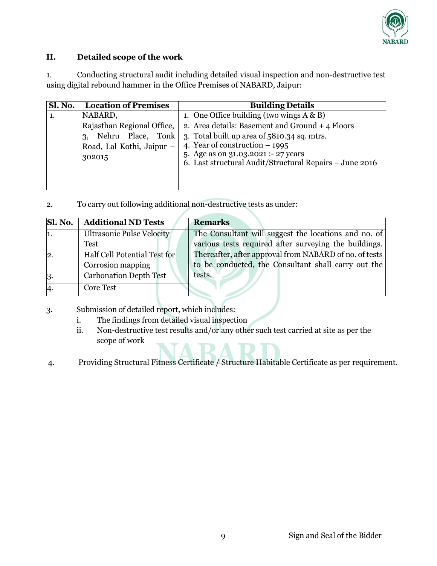

## **II. Detailed scope of the work**

1. Conducting structural audit including detailed visual inspection and non-destructive test using digital rebound hammer in the Office Premises of NABARD, Jaipur:

| Sl. No. | <b>Location of Premises</b> | <b>Building Details</b>                                                                        |
|---------|-----------------------------|------------------------------------------------------------------------------------------------|
|         | NABARD,                     | 1. One Office building (two wings $A \& B$ )                                                   |
|         | Rajasthan Regional Office,  | 2. Area details: Basement and Ground $+$ 4 Floors                                              |
|         | Nehru Place, Tonk<br>3,     | 3. Total built up area of 5810.34 sq. mtrs.                                                    |
|         | Road, Lal Kothi, Jaipur -   | 4. Year of construction $-1995$                                                                |
|         | 302015                      | 5. Age as on 31.03.2021 :- 27 years<br>6. Last structural Audit/Structural Repairs - June 2016 |
|         |                             |                                                                                                |

2. To carry out following additional non-destructive tests as under:

| Sl. No.        | <b>Additional ND Tests</b>       | <b>Remarks</b>                                         |
|----------------|----------------------------------|--------------------------------------------------------|
| 1.             | <b>Ultrasonic Pulse Velocity</b> | The Consultant will suggest the locations and no. of   |
|                | Test                             | various tests required after surveying the buildings.  |
| $\overline{2}$ | Half Cell Potential Test for     | Thereafter, after approval from NABARD of no. of tests |
|                | Corrosion mapping                | to be conducted, the Consultant shall carry out the    |
| 3.             | <b>Carbonation Depth Test</b>    | tests.                                                 |
| $\overline{4}$ | Core Test                        |                                                        |

- 3. Submission of detailed report, which includes:
	- i. The findings from detailed visual inspection
	- ii. Non-destructive test results and/or any other such test carried at site as per the scope of work
- 4. Providing Structural Fitness Certificate / Structure Habitable Certificate as per requirement.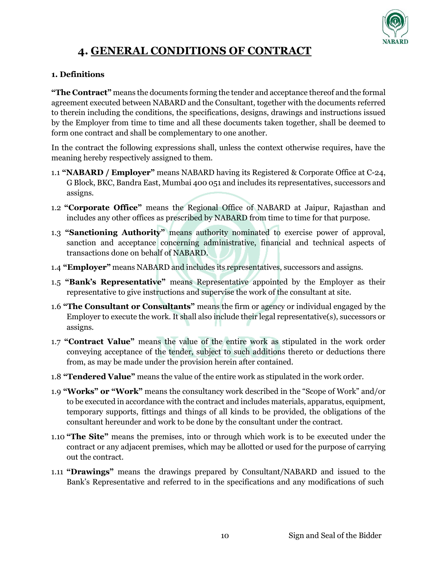

# **4. GENERAL CONDITIONS OF CONTRACT**

### **1. Definitions**

**"The Contract"** means the documents forming the tender and acceptance thereof and the formal agreement executed between NABARD and the Consultant, together with the documents referred to therein including the conditions, the specifications, designs, drawings and instructions issued by the Employer from time to time and all these documents taken together, shall be deemed to form one contract and shall be complementary to one another.

In the contract the following expressions shall, unless the context otherwise requires, have the meaning hereby respectively assigned to them.

- 1.1 **"NABARD / Employer"** means NABARD having its Registered & Corporate Office at C-24, G Block, BKC, Bandra East, Mumbai 400 051 and includes its representatives, successors and assigns.
- 1.2 **"Corporate Office"** means the Regional Office of NABARD at Jaipur, Rajasthan and includes any other offices as prescribed by NABARD from time to time for that purpose.
- 1.3 **"Sanctioning Authority"** means authority nominated to exercise power of approval, sanction and acceptance concerning administrative, financial and technical aspects of transactions done on behalf of NABARD.
- 1.4 **"Employer"** means NABARD and includes its representatives, successors and assigns.
- 1.5 **"Bank's Representative"** means Representative appointed by the Employer as their representative to give instructions and supervise the work of the consultant at site.
- 1.6 **"The Consultant or Consultants"** means the firm or agency or individual engaged by the Employer to execute the work. It shall also include their legal representative(s), successors or assigns.
- 1.7 **"Contract Value"** means the value of the entire work as stipulated in the work order conveying acceptance of the tender, subject to such additions thereto or deductions there from, as may be made under the provision herein after contained.
- 1.8 **"Tendered Value"** means the value of the entire work as stipulated in the work order.
- 1.9 **"Works" or "Work"** means the consultancy work described in the "Scope of Work" and/or to be executed in accordance with the contract and includes materials, apparatus, equipment, temporary supports, fittings and things of all kinds to be provided, the obligations of the consultant hereunder and work to be done by the consultant under the contract.
- 1.10 **"The Site"** means the premises, into or through which work is to be executed under the contract or any adjacent premises, which may be allotted or used for the purpose of carrying out the contract.
- 1.11 **"Drawings"** means the drawings prepared by Consultant/NABARD and issued to the Bank's Representative and referred to in the specifications and any modifications of such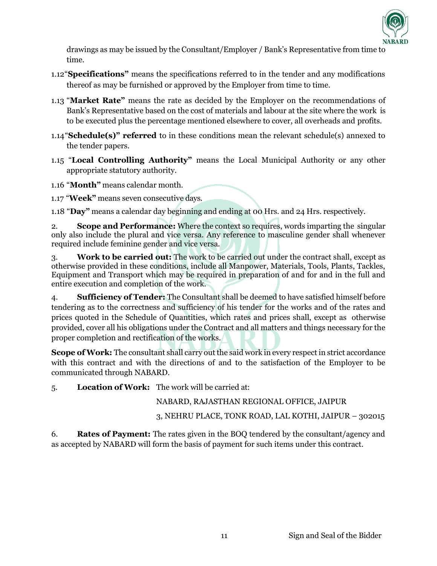

drawings as may be issued by the Consultant/Employer / Bank's Representative from time to time.

- 1.12"**Specifications"** means the specifications referred to in the tender and any modifications thereof as may be furnished or approved by the Employer from time to time.
- 1.13 "**Market Rate"** means the rate as decided by the Employer on the recommendations of Bank's Representative based on the cost of materials and labour at the site where the work is to be executed plus the percentage mentioned elsewhere to cover, all overheads and profits.
- 1.14"**Schedule(s)" referred** to in these conditions mean the relevant schedule(s) annexed to the tender papers.
- 1.15 "**Local Controlling Authority"** means the Local Municipal Authority or any other appropriate statutory authority.
- 1.16 "**Month"** means calendar month.
- 1.17 "**Week"** means seven consecutive days.

1.18 "**Day"** means a calendar day beginning and ending at 00 Hrs. and 24 Hrs. respectively.

2. **Scope and Performance:** Where the context so requires, words imparting the singular only also include the plural and vice versa. Any reference to masculine gender shall whenever required include feminine gender and vice versa.

3. **Work to be carried out:** The work to be carried out under the contract shall, except as otherwise provided in these conditions, include all Manpower, Materials, Tools, Plants, Tackles, Equipment and Transport which may be required in preparation of and for and in the full and entire execution and completion of the work.

4. **Sufficiency of Tender:** The Consultant shall be deemed to have satisfied himself before tendering as to the correctness and sufficiency of his tender for the works and of the rates and prices quoted in the Schedule of Quantities, which rates and prices shall, except as otherwise provided, cover all his obligations under the Contract and all matters and things necessary for the proper completion and rectification of the works.

**Scope of Work:** The consultant shall carry out the said work in every respect in strict accordance with this contract and with the directions of and to the satisfaction of the Employer to be communicated through NABARD.

5. **Location of Work:** The work will be carried at:

NABARD, RAJASTHAN REGIONAL OFFICE, JAIPUR

3, NEHRU PLACE, TONK ROAD, LAL KOTHI, JAIPUR – 302015

6. **Rates of Payment:** The rates given in the BOQ tendered by the consultant/agency and as accepted by NABARD will form the basis of payment for such items under this contract.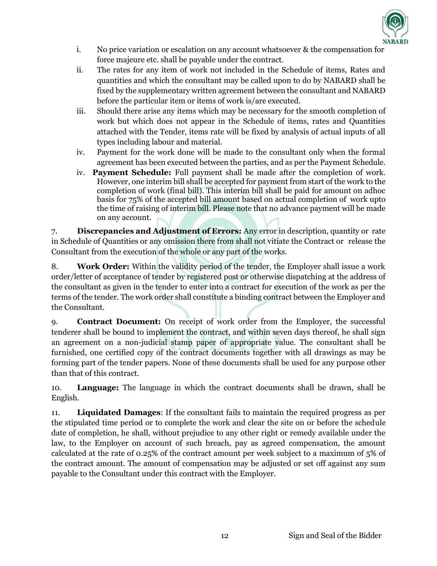

- i. No price variation or escalation on any account whatsoever & the compensation for force majeure etc. shall be payable under the contract.
- ii. The rates for any item of work not included in the Schedule of items, Rates and quantities and which the consultant may be called upon to do by NABARD shall be fixed by the supplementary written agreement between the consultant and NABARD before the particular item or items of work is/are executed.
- iii. Should there arise any items which may be necessary for the smooth completion of work but which does not appear in the Schedule of items, rates and Quantities attached with the Tender, items rate will be fixed by analysis of actual inputs of all types including labour and material.
- iv. Payment for the work done will be made to the consultant only when the formal agreement has been executed between the parties, and as per the Payment Schedule.
- iv. **Payment Schedule:** Full payment shall be made after the completion of work. However, one interim bill shall be accepted for payment from start of the work to the completion of work (final bill). This interim bill shall be paid for amount on adhoc basis for 75% of the accepted bill amount based on actual completion of work upto the time of raising of interim bill. Please note that no advance payment will be made on any account.

7. **Discrepancies and Adjustment of Errors:** Any error in description, quantity or rate in Schedule of Quantities or any omission there from shall not vitiate the Contract or release the Consultant from the execution of the whole or any part of the works.

8. **Work Order:** Within the validity period of the tender, the Employer shall issue a work order/letter of acceptance of tender by registered post or otherwise dispatching at the address of the consultant as given in the tender to enter into a contract for execution of the work as per the terms of the tender. The work order shall constitute a binding contract between the Employer and the Consultant.

9. **Contract Document:** On receipt of work order from the Employer, the successful tenderer shall be bound to implement the contract, and within seven days thereof, he shall sign an agreement on a non-judicial stamp paper of appropriate value. The consultant shall be furnished, one certified copy of the contract documents together with all drawings as may be forming part of the tender papers. None of these documents shall be used for any purpose other than that of this contract.

10. **Language:** The language in which the contract documents shall be drawn, shall be English.

11. **Liquidated Damages**: If the consultant fails to maintain the required progress as per the stipulated time period or to complete the work and clear the site on or before the schedule date of completion, he shall, without prejudice to any other right or remedy available under the law, to the Employer on account of such breach, pay as agreed compensation, the amount calculated at the rate of 0.25% of the contract amount per week subject to a maximum of 5% of the contract amount. The amount of compensation may be adjusted or set off against any sum payable to the Consultant under this contract with the Employer.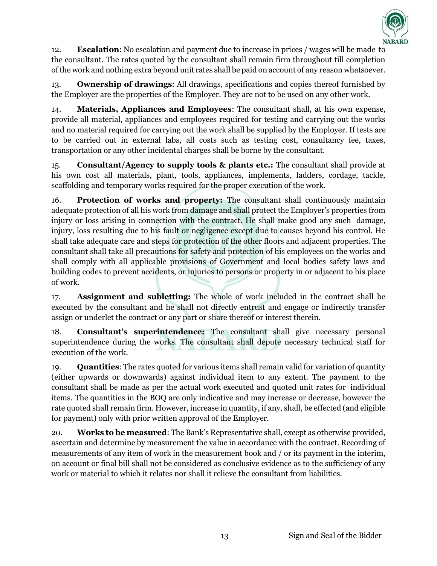

12. **Escalation**: No escalation and payment due to increase in prices / wages will be made to the consultant. The rates quoted by the consultant shall remain firm throughout till completion of the work and nothing extra beyond unit rates shall be paid on account of any reason whatsoever.

13. **Ownership of drawings**: All drawings, specifications and copies thereof furnished by the Employer are the properties of the Employer. They are not to be used on any other work.

14. **Materials, Appliances and Employees**: The consultant shall, at his own expense, provide all material, appliances and employees required for testing and carrying out the works and no material required for carrying out the work shall be supplied by the Employer. If tests are to be carried out in external labs, all costs such as testing cost, consultancy fee, taxes, transportation or any other incidental charges shall be borne by the consultant.

15. **Consultant/Agency to supply tools & plants etc.:** The consultant shall provide at his own cost all materials, plant, tools, appliances, implements, ladders, cordage, tackle, scaffolding and temporary works required for the proper execution of the work.

16. **Protection of works and property:** The consultant shall continuously maintain adequate protection of all his work from damage and shall protect the Employer's properties from injury or loss arising in connection with the contract. He shall make good any such damage, injury, loss resulting due to his fault or negligence except due to causes beyond his control. He shall take adequate care and steps for protection of the other floors and adjacent properties. The consultant shall take all precautions for safety and protection of his employees on the works and shall comply with all applicable provisions of Government and local bodies safety laws and building codes to prevent accidents, or injuries to persons or property in or adjacent to his place of work.

17. **Assignment and subletting:** The whole of work included in the contract shall be executed by the consultant and he shall not directly entrust and engage or indirectly transfer assign or underlet the contract or any part or share thereof or interest therein.

18. **Consultant's superintendence:** The consultant shall give necessary personal superintendence during the works. The consultant shall depute necessary technical staff for execution of the work.

19. **Quantities**: The rates quoted for various items shall remain valid for variation of quantity (either upwards or downwards) against individual item to any extent. The payment to the consultant shall be made as per the actual work executed and quoted unit rates for individual items. The quantities in the BOQ are only indicative and may increase or decrease, however the rate quoted shall remain firm. However, increase in quantity, if any, shall, be effected (and eligible for payment) only with prior written approval of the Employer.

20. **Works to be measured**: The Bank's Representative shall, except as otherwise provided, ascertain and determine by measurement the value in accordance with the contract. Recording of measurements of any item of work in the measurement book and / or its payment in the interim, on account or final bill shall not be considered as conclusive evidence as to the sufficiency of any work or material to which it relates nor shall it relieve the consultant from liabilities.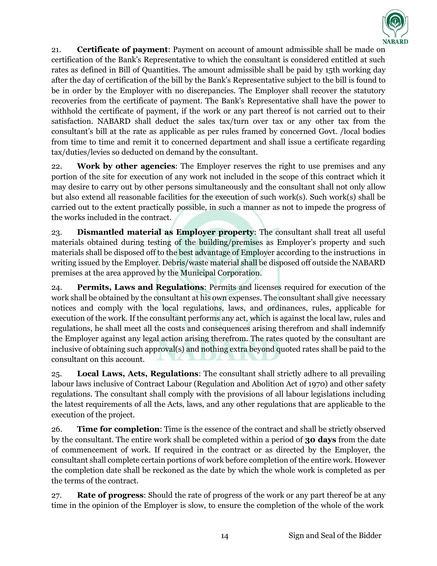

21. **Certificate of payment**: Payment on account of amount admissible shall be made on certification of the Bank's Representative to which the consultant is considered entitled at such rates as defined in Bill of Quantities. The amount admissible shall be paid by 15th working day after the day of certification of the bill by the Bank's Representative subject to the bill is found to be in order by the Employer with no discrepancies. The Employer shall recover the statutory recoveries from the certificate of payment. The Bank's Representative shall have the power to withhold the certificate of payment, if the work or any part thereof is not carried out to their satisfaction. NABARD shall deduct the sales tax/turn over tax or any other tax from the consultant's bill at the rate as applicable as per rules framed by concerned Govt. /local bodies from time to time and remit it to concerned department and shall issue a certificate regarding tax/duties/levies so deducted on demand by the consultant.

22. **Work by other agencies**: The Employer reserves the right to use premises and any portion of the site for execution of any work not included in the scope of this contract which it may desire to carry out by other persons simultaneously and the consultant shall not only allow but also extend all reasonable facilities for the execution of such work(s). Such work(s) shall be carried out to the extent practically possible, in such a manner as not to impede the progress of the works included in the contract.

23. **Dismantled material as Employer property**: The consultant shall treat all useful materials obtained during testing of the building/premises as Employer's property and such materials shall be disposed off to the best advantage of Employer according to the instructions in writing issued by the Employer. Debris/waste material shall be disposed off outside the NABARD premises at the area approved by the Municipal Corporation.

24. **Permits, Laws and Regulations**: Permits and licenses required for execution of the work shall be obtained by the consultant at his own expenses. The consultant shall give necessary notices and comply with the local regulations, laws, and ordinances, rules, applicable for execution of the work. If the consultant performs any act, which is against the local law, rules and regulations, he shall meet all the costs and consequences arising therefrom and shall indemnify the Employer against any legal action arising therefrom. The rates quoted by the consultant are inclusive of obtaining such approval(s) and nothing extra beyond quoted rates shall be paid to the consultant on this account.

25. **Local Laws, Acts, Regulations**: The consultant shall strictly adhere to all prevailing labour laws inclusive of Contract Labour (Regulation and Abolition Act of 1970) and other safety regulations. The consultant shall comply with the provisions of all labour legislations including the latest requirements of all the Acts, laws, and any other regulations that are applicable to the execution of the project.

26. **Time for completion**: Time is the essence of the contract and shall be strictly observed by the consultant. The entire work shall be completed within a period of **30 days** from the date of commencement of work. If required in the contract or as directed by the Employer, the consultant shall complete certain portions of work before completion of the entire work. However the completion date shall be reckoned as the date by which the whole work is completed as per the terms of the contract.

27. **Rate of progress**: Should the rate of progress of the work or any part thereof be at any time in the opinion of the Employer is slow, to ensure the completion of the whole of the work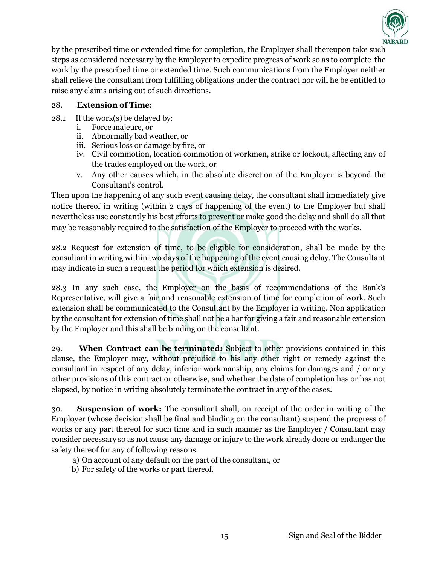

by the prescribed time or extended time for completion, the Employer shall thereupon take such steps as considered necessary by the Employer to expedite progress of work so as to complete the work by the prescribed time or extended time. Such communications from the Employer neither shall relieve the consultant from fulfilling obligations under the contract nor will he be entitled to raise any claims arising out of such directions.

### 28. **Extension of Time**:

- 28.1 If the work(s) be delayed by:
	- i. Force majeure, or
	- ii. Abnormally bad weather, or
	- iii. Serious loss or damage by fire, or
	- iv. Civil commotion, location commotion of workmen, strike or lockout, affecting any of the trades employed on the work, or
	- v. Any other causes which, in the absolute discretion of the Employer is beyond the Consultant's control.

Then upon the happening of any such event causing delay, the consultant shall immediately give notice thereof in writing (within 2 days of happening of the event) to the Employer but shall nevertheless use constantly his best efforts to prevent or make good the delay and shall do all that may be reasonably required to the satisfaction of the Employer to proceed with the works.

28.2 Request for extension of time, to be eligible for consideration, shall be made by the consultant in writing within two days of the happening of the event causing delay. The Consultant may indicate in such a request the period for which extension is desired.

28.3 In any such case, the Employer on the basis of recommendations of the Bank's Representative, will give a fair and reasonable extension of time for completion of work. Such extension shall be communicated to the Consultant by the Employer in writing. Non application by the consultant for extension of time shall not be a bar for giving a fair and reasonable extension by the Employer and this shall be binding on the consultant.

29. **When Contract can be terminated:** Subject to other provisions contained in this clause, the Employer may, without prejudice to his any other right or remedy against the consultant in respect of any delay, inferior workmanship, any claims for damages and / or any other provisions of this contract or otherwise, and whether the date of completion has or has not elapsed, by notice in writing absolutely terminate the contract in any of the cases.

30. **Suspension of work:** The consultant shall, on receipt of the order in writing of the Employer (whose decision shall be final and binding on the consultant) suspend the progress of works or any part thereof for such time and in such manner as the Employer / Consultant may consider necessary so as not cause any damage or injury to the work already done or endanger the safety thereof for any of following reasons.

- a) On account of any default on the part of the consultant, or
- b) For safety of the works or part thereof.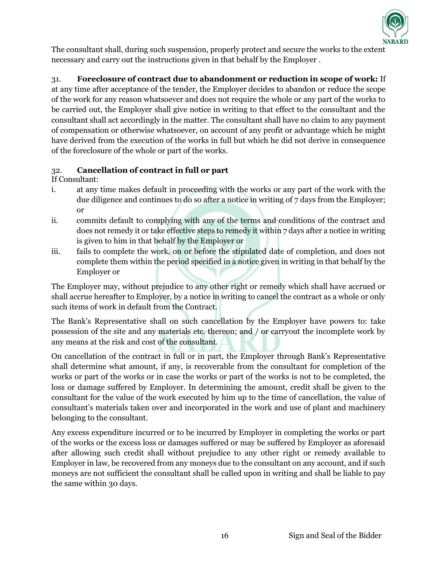

The consultant shall, during such suspension, properly protect and secure the works to the extent necessary and carry out the instructions given in that behalf by the Employer .

## 31. **Foreclosure of contract due to abandonment or reduction in scope of work:** If at any time after acceptance of the tender, the Employer decides to abandon or reduce the scope of the work for any reason whatsoever and does not require the whole or any part of the works to be carried out, the Employer shall give notice in writing to that effect to the consultant and the consultant shall act accordingly in the matter. The consultant shall have no claim to any payment of compensation or otherwise whatsoever, on account of any profit or advantage which he might have derived from the execution of the works in full but which he did not derive in consequence of the foreclosure of the whole or part of the works.

## 32. **Cancellation of contract in full or part**

If Consultant:

- i. at any time makes default in proceeding with the works or any part of the work with the due diligence and continues to do so after a notice in writing of 7 days from the Employer; or
- ii. commits default to complying with any of the terms and conditions of the contract and does not remedy it or take effective steps to remedy it within 7 days after a notice in writing is given to him in that behalf by the Employer or
- iii. fails to complete the work, on or before the stipulated date of completion, and does not complete them within the period specified in a notice given in writing in that behalf by the Employer or

The Employer may, without prejudice to any other right or remedy which shall have accrued or shall accrue hereafter to Employer, by a notice in writing to cancel the contract as a whole or only such items of work in default from the Contract.

The Bank's Representative shall on such cancellation by the Employer have powers to: take possession of the site and any materials etc. thereon; and / or carryout the incomplete work by any means at the risk and cost of the consultant.

On cancellation of the contract in full or in part, the Employer through Bank's Representative shall determine what amount, if any, is recoverable from the consultant for completion of the works or part of the works or in case the works or part of the works is not to be completed, the loss or damage suffered by Employer. In determining the amount, credit shall be given to the consultant for the value of the work executed by him up to the time of cancellation, the value of consultant's materials taken over and incorporated in the work and use of plant and machinery belonging to the consultant.

Any excess expenditure incurred or to be incurred by Employer in completing the works or part of the works or the excess loss or damages suffered or may be suffered by Employer as aforesaid after allowing such credit shall without prejudice to any other right or remedy available to Employer in law, be recovered from any moneys due to the consultant on any account, and if such moneys are not sufficient the consultant shall be called upon in writing and shall be liable to pay the same within 30 days.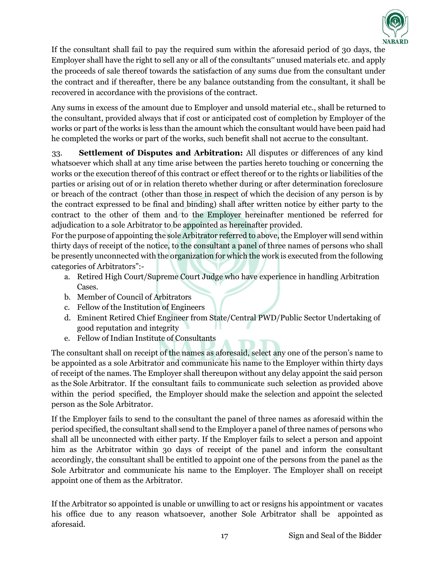

If the consultant shall fail to pay the required sum within the aforesaid period of 30 days, the Employer shall have the right to sell any or all of the consultants" unused materials etc. and apply the proceeds of sale thereof towards the satisfaction of any sums due from the consultant under the contract and if thereafter, there be any balance outstanding from the consultant, it shall be recovered in accordance with the provisions of the contract.

Any sums in excess of the amount due to Employer and unsold material etc., shall be returned to the consultant, provided always that if cost or anticipated cost of completion by Employer of the works or part of the works is less than the amount which the consultant would have been paid had he completed the works or part of the works, such benefit shall not accrue to the consultant.

33. **Settlement of Disputes and Arbitration:** All disputes or differences of any kind whatsoever which shall at any time arise between the parties hereto touching or concerning the works or the execution thereof of this contract or effect thereof or to the rights or liabilities of the parties or arising out of or in relation thereto whether during or after determination foreclosure or breach of the contract (other than those in respect of which the decision of any person is by the contract expressed to be final and binding) shall after written notice by either party to the contract to the other of them and to the Employer hereinafter mentioned be referred for adjudication to a sole Arbitrator to be appointed as hereinafter provided.

For the purpose of appointing the sole Arbitrator referred to above, the Employer will send within thirty days of receipt of the notice, to the consultant a panel of three names of persons who shall be presently unconnected with the organization for which the work is executed from the following categories of Arbitrators":-

- a. Retired High Court/Supreme Court Judge who have experience in handling Arbitration Cases.
- b. Member of Council of Arbitrators
- c. Fellow of the Institution of Engineers
- d. Eminent Retired Chief Engineer from State/Central PWD/Public Sector Undertaking of good reputation and integrity
- e. Fellow of Indian Institute of Consultants

The consultant shall on receipt of the names as aforesaid, select any one of the person's name to be appointed as a sole Arbitrator and communicate his name to the Employer within thirty days of receipt of the names. The Employer shall thereupon without any delay appoint the said person as the Sole Arbitrator. If the consultant fails to communicate such selection as provided above within the period specified, the Employer should make the selection and appoint the selected person as the Sole Arbitrator.

If the Employer fails to send to the consultant the panel of three names as aforesaid within the period specified, the consultant shall send to the Employer a panel of three names of persons who shall all be unconnected with either party. If the Employer fails to select a person and appoint him as the Arbitrator within 30 days of receipt of the panel and inform the consultant accordingly, the consultant shall be entitled to appoint one of the persons from the panel as the Sole Arbitrator and communicate his name to the Employer. The Employer shall on receipt appoint one of them as the Arbitrator.

If the Arbitrator so appointed is unable or unwilling to act or resigns his appointment or vacates his office due to any reason whatsoever, another Sole Arbitrator shall be appointed as aforesaid.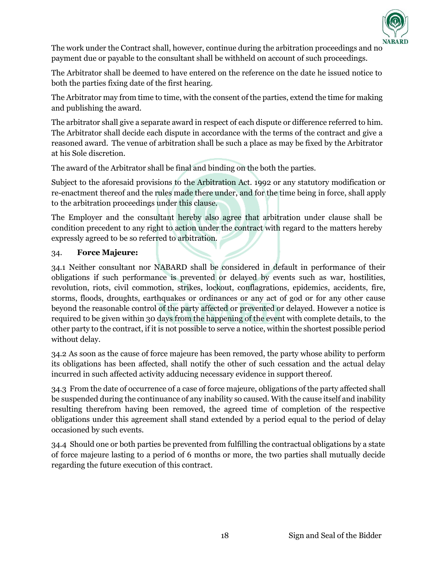

The work under the Contract shall, however, continue during the arbitration proceedings and no payment due or payable to the consultant shall be withheld on account of such proceedings.

The Arbitrator shall be deemed to have entered on the reference on the date he issued notice to both the parties fixing date of the first hearing.

The Arbitrator may from time to time, with the consent of the parties, extend the time for making and publishing the award.

The arbitrator shall give a separate award in respect of each dispute or difference referred to him. The Arbitrator shall decide each dispute in accordance with the terms of the contract and give a reasoned award. The venue of arbitration shall be such a place as may be fixed by the Arbitrator at his Sole discretion.

The award of the Arbitrator shall be final and binding on the both the parties.

Subject to the aforesaid provisions to the Arbitration Act. 1992 or any statutory modification or re-enactment thereof and the rules made there under, and for the time being in force, shall apply to the arbitration proceedings under this clause.

The Employer and the consultant hereby also agree that arbitration under clause shall be condition precedent to any right to action under the contract with regard to the matters hereby expressly agreed to be so referred to arbitration.

#### 34. **Force Majeure:**

34.1 Neither consultant nor NABARD shall be considered in default in performance of their obligations if such performance is prevented or delayed by events such as war, hostilities, revolution, riots, civil commotion, strikes, lockout, conflagrations, epidemics, accidents, fire, storms, floods, droughts, earthquakes or ordinances or any act of god or for any other cause beyond the reasonable control of the party affected or prevented or delayed. However a notice is required to be given within 30 days from the happening of the event with complete details, to the other party to the contract, if it is not possible to serve a notice, within the shortest possible period without delay.

34.2 As soon as the cause of force majeure has been removed, the party whose ability to perform its obligations has been affected, shall notify the other of such cessation and the actual delay incurred in such affected activity adducing necessary evidence in support thereof.

34.3 From the date of occurrence of a case of force majeure, obligations of the party affected shall be suspended during the continuance of any inability so caused. With the cause itself and inability resulting therefrom having been removed, the agreed time of completion of the respective obligations under this agreement shall stand extended by a period equal to the period of delay occasioned by such events.

34.4 Should one or both parties be prevented from fulfilling the contractual obligations by a state of force majeure lasting to a period of 6 months or more, the two parties shall mutually decide regarding the future execution of this contract.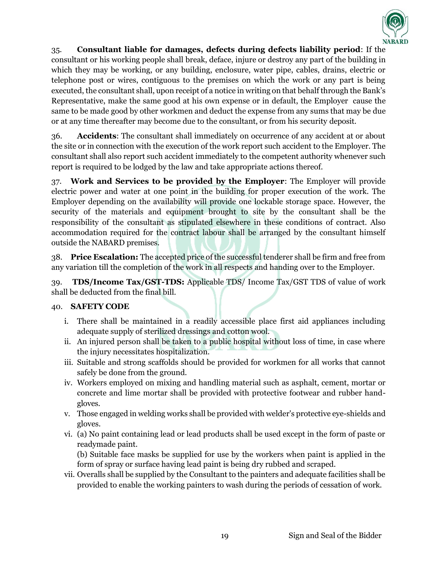

35. **Consultant liable for damages, defects during defects liability period**: If the consultant or his working people shall break, deface, injure or destroy any part of the building in which they may be working, or any building, enclosure, water pipe, cables, drains, electric or telephone post or wires, contiguous to the premises on which the work or any part is being executed, the consultant shall, upon receipt of a notice in writing on that behalf through the Bank's Representative, make the same good at his own expense or in default, the Employer cause the same to be made good by other workmen and deduct the expense from any sums that may be due or at any time thereafter may become due to the consultant, or from his security deposit.

36. **Accidents**: The consultant shall immediately on occurrence of any accident at or about the site or in connection with the execution of the work report such accident to the Employer. The consultant shall also report such accident immediately to the competent authority whenever such report is required to be lodged by the law and take appropriate actions thereof.

37. **Work and Services to be provided by the Employer**: The Employer will provide electric power and water at one point in the building for proper execution of the work. The Employer depending on the availability will provide one lockable storage space. However, the security of the materials and equipment brought to site by the consultant shall be the responsibility of the consultant as stipulated elsewhere in these conditions of contract. Also accommodation required for the contract labour shall be arranged by the consultant himself outside the NABARD premises.

38. **Price Escalation:** The accepted price of the successful tenderer shall be firm and free from any variation till the completion of the work in all respects and handing over to the Employer.

39. **TDS/Income Tax/GST-TDS:** Applicable TDS/ Income Tax/GST TDS of value of work shall be deducted from the final bill.

## 40. **SAFETY CODE**

- i. There shall be maintained in a readily accessible place first aid appliances including adequate supply of sterilized dressings and cotton wool.
- ii. An injured person shall be taken to a public hospital without loss of time, in case where the injury necessitates hospitalization.
- iii. Suitable and strong scaffolds should be provided for workmen for all works that cannot safely be done from the ground.
- iv. Workers employed on mixing and handling material such as asphalt, cement, mortar or concrete and lime mortar shall be provided with protective footwear and rubber handgloves.
- v. Those engaged in welding works shall be provided with welder's protective eye-shields and gloves.
- vi. (a) No paint containing lead or lead products shall be used except in the form of paste or readymade paint.

(b) Suitable face masks be supplied for use by the workers when paint is applied in the form of spray or surface having lead paint is being dry rubbed and scraped.

vii. Overalls shall be supplied by the Consultant to the painters and adequate facilities shall be provided to enable the working painters to wash during the periods of cessation of work.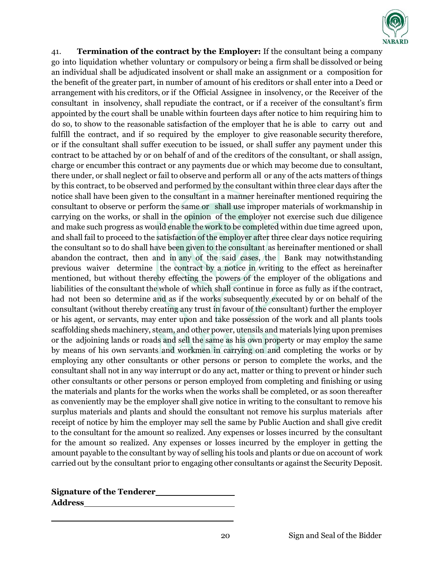

41. **Termination of the contract by the Employer:** If the consultant being a company go into liquidation whether voluntary or compulsory or being a firm shall be dissolved or being an individual shall be adjudicated insolvent or shall make an assignment or a composition for the benefit of the greater part, in number of amount of his creditors or shall enter into a Deed or arrangement with his creditors, or if the Official Assignee in insolvency, or the Receiver of the consultant in insolvency, shall repudiate the contract, or if a receiver of the consultant's firm appointed by the court shall be unable within fourteen days after notice to him requiring him to do so, to show to the reasonable satisfaction of the employer that he is able to carry out and fulfill the contract, and if so required by the employer to give reasonable security therefore, or if the consultant shall suffer execution to be issued, or shall suffer any payment under this contract to be attached by or on behalf of and of the creditors of the consultant, or shall assign, charge or encumber this contract or any payments due or which may become due to consultant, there under, or shall neglect or fail to observe and perform all or any of the acts matters of things by this contract, to be observed and performed by the consultant within three clear days after the notice shall have been given to the consultant in a manner hereinafter mentioned requiring the consultant to observe or perform the same or shall use improper materials of workmanship in carrying on the works, or shall in the opinion of the employer not exercise such due diligence and make such progress as would enable the work to be completed within due time agreed upon, and shall fail to proceed to the satisfaction of the employer after three clear days notice requiring the consultant so to do shall have been given to the consultant as hereinafter mentioned or shall abandon the contract, then and in any of the said cases, the Bank may notwithstanding previous waiver determine the contract by a notice in writing to the effect as hereinafter mentioned, but without thereby effecting the powers of the employer of the obligations and liabilities of the consultant the whole of which shall continue in force as fully as if the contract, had not been so determine and as if the works subsequently executed by or on behalf of the consultant (without thereby creating any trust in favour of the consultant) further the employer or his agent, or servants, may enter upon and take possession of the work and all plants tools scaffolding sheds machinery, steam, and other power, utensils and materials lying upon premises or the adjoining lands or roads and sell the same as his own property or may employ the same by means of his own servants and workmen in carrying on and completing the works or by employing any other consultants or other persons or person to complete the works, and the consultant shall not in any way interrupt or do any act, matter or thing to prevent or hinder such other consultants or other persons or person employed from completing and finishing or using the materials and plants for the works when the works shall be completed, or as soon thereafter as conveniently may be the employer shall give notice in writing to the consultant to remove his surplus materials and plants and should the consultant not remove his surplus materials after receipt of notice by him the employer may sell the same by Public Auction and shall give credit to the consultant for the amount so realized. Any expenses or losses incurred by the consultant for the amount so realized. Any expenses or losses incurred by the employer in getting the amount payable to the consultant by way of selling his tools and plants or due on account of work carried out by the consultant prior to engaging other consultants or against the Security Deposit.

| <b>Signature of the Tenderer</b> |  |
|----------------------------------|--|
| <b>Address</b>                   |  |

**\_\_\_\_\_\_\_\_\_\_\_\_\_\_\_\_\_\_\_\_\_\_\_\_\_\_\_\_\_\_\_\_\_**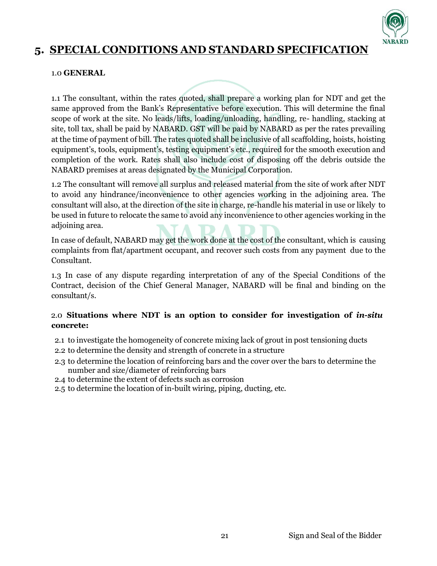

# **5. SPECIAL CONDITIONS AND STANDARD SPECIFICATION**

#### 1.0 **GENERAL**

1.1 The consultant, within the rates quoted, shall prepare a working plan for NDT and get the same approved from the Bank's Representative before execution. This will determine the final scope of work at the site. No leads/lifts, loading/unloading, handling, re- handling, stacking at site, toll tax, shall be paid by NABARD. GST will be paid by NABARD as per the rates prevailing at the time of payment of bill. The rates quoted shall be inclusive of all scaffolding, hoists, hoisting equipment's, tools, equipment's, testing equipment's etc., required for the smooth execution and completion of the work. Rates shall also include cost of disposing off the debris outside the NABARD premises at areas designated by the Municipal Corporation.

1.2 The consultant will remove all surplus and released material from the site of work after NDT to avoid any hindrance/inconvenience to other agencies working in the adjoining area. The consultant will also, at the direction of the site in charge, re-handle his material in use or likely to be used in future to relocate the same to avoid any inconvenience to other agencies working in the adjoining area.

In case of default, NABARD may get the work done at the cost of the consultant, which is causing complaints from flat/apartment occupant, and recover such costs from any payment due to the Consultant.

1.3 In case of any dispute regarding interpretation of any of the Special Conditions of the Contract, decision of the Chief General Manager, NABARD will be final and binding on the consultant/s.

#### 2.0 **Situations where NDT is an option to consider for investigation of** *in-situ* **concrete:**

- 2.1 to investigate the homogeneity of concrete mixing lack of grout in post tensioning ducts
- 2.2 to determine the density and strength of concrete in a structure
- 2.3 to determine the location of reinforcing bars and the cover over the bars to determine the number and size/diameter of reinforcing bars
- 2.4 to determine the extent of defects such as corrosion
- 2.5 to determine the location of in-built wiring, piping, ducting, etc.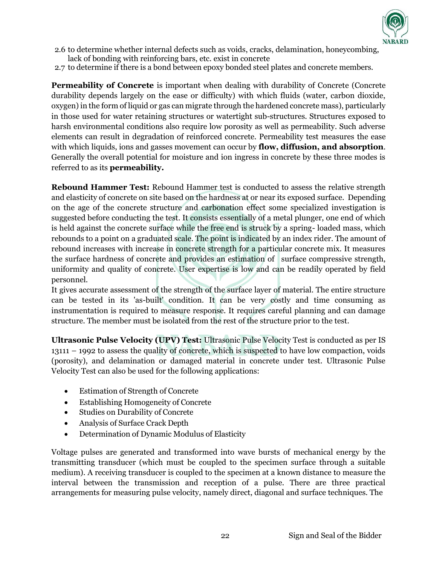

- 2.6 to determine whether internal defects such as voids, cracks, delamination, honeycombing, lack of bonding with reinforcing bars, etc. exist in concrete
- 2.7 to determine if there is a bond between epoxy bonded steel plates and concrete members.

**Permeability of Concrete** is important when dealing with durability of Concrete (Concrete durability depends largely on the ease or difficulty) with which fluids (water, carbon dioxide, oxygen) in the form of liquid or gas can migrate through the hardened concrete mass), particularly in those used for water retaining structures or watertight sub-structures. Structures exposed to harsh environmental conditions also require low porosity as well as permeability. Such adverse elements can result in degradation of reinforced concrete. Permeability test measures the ease with which liquids, ions and gasses movement can occur by **flow, diffusion, and absorption**. Generally the overall potential for moisture and ion ingress in concrete by these three modes is referred to as its **permeability.**

**Rebound Hammer Test:** Rebound Hammer test is conducted to assess the relative strength and elasticity of concrete on site based on the hardness at or near its exposed surface. Depending on the age of the concrete structure and carbonation effect some specialized investigation is suggested before conducting the test. It consists essentially of a metal plunger, one end of which is held against the concrete surface while the free end is struck by a spring- loaded mass, which rebounds to a point on a graduated scale. The point is indicated by an index rider. The amount of rebound increases with increase in concrete strength for a particular concrete mix. It measures the surface hardness of concrete and provides an estimation of surface compressive strength, uniformity and quality of concrete. User expertise is low and can be readily operated by field personnel.

It gives accurate assessment of the strength of the surface layer of material. The entire structure can be tested in its 'as-built' condition. It can be very costly and time consuming as instrumentation is required to measure response. It requires careful planning and can damage structure. The member must be isolated from the rest of the structure prior to the test.

**Ultrasonic Pulse Velocity (UPV) Test:** Ultrasonic Pulse Velocity Test is conducted as per IS 13111 – 1992 to assess the quality of concrete, which is suspected to have low compaction, voids (porosity), and delamination or damaged material in concrete under test. Ultrasonic Pulse Velocity Test can also be used for the following applications:

- Estimation of Strength of Concrete
- Establishing Homogeneity of Concrete
- Studies on Durability of Concrete
- Analysis of Surface Crack Depth
- Determination of Dynamic Modulus of Elasticity

Voltage pulses are generated and transformed into wave bursts of mechanical energy by the transmitting transducer (which must be coupled to the specimen surface through a suitable medium). A receiving transducer is coupled to the specimen at a known distance to measure the interval between the transmission and reception of a pulse. There are three practical arrangements for measuring pulse velocity, namely direct, diagonal and surface techniques. The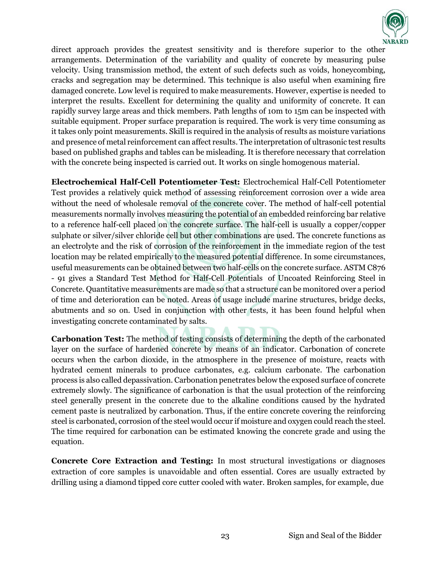

direct approach provides the greatest sensitivity and is therefore superior to the other arrangements. Determination of the variability and quality of concrete by measuring pulse velocity. Using transmission method, the extent of such defects such as voids, honeycombing, cracks and segregation may be determined. This technique is also useful when examining fire damaged concrete. Low level is required to make measurements. However, expertise is needed to interpret the results. Excellent for determining the quality and uniformity of concrete. It can rapidly survey large areas and thick members. Path lengths of 10m to 15m can be inspected with suitable equipment. Proper surface preparation is required. The work is very time consuming as it takes only point measurements. Skill is required in the analysis of results as moisture variations and presence of metal reinforcement can affect results. The interpretation of ultrasonic test results based on published graphs and tables can be misleading. It is therefore necessary that correlation with the concrete being inspected is carried out. It works on single homogenous material.

**Electrochemical Half-Cell Potentiometer Test:** Electrochemical Half-Cell Potentiometer Test provides a relatively quick method of assessing reinforcement corrosion over a wide area without the need of wholesale removal of the concrete cover. The method of half-cell potential measurements normally involves measuring the potential of an embedded reinforcing bar relative to a reference half-cell placed on the concrete surface. The half-cell is usually a copper/copper sulphate or silver/silver chloride cell but other combinations are used. The concrete functions as an electrolyte and the risk of corrosion of the reinforcement in the immediate region of the test location may be related empirically to the measured potential difference. In some circumstances, useful measurements can be obtained between two half-cells on the concrete surface. ASTM C876 - 91 gives a Standard Test Method for Half-Cell Potentials of Uncoated Reinforcing Steel in Concrete. Quantitative measurements are made so that a structure can be monitored over a period of time and deterioration can be noted. Areas of usage include marine structures, bridge decks, abutments and so on. Used in conjunction with other tests, it has been found helpful when investigating concrete contaminated by salts.

**Carbonation Test:** The method of testing consists of determining the depth of the carbonated layer on the surface of hardened concrete by means of an indicator. Carbonation of concrete occurs when the carbon dioxide, in the atmosphere in the presence of moisture, reacts with hydrated cement minerals to produce carbonates, e.g. calcium carbonate. The carbonation process is also called depassivation. Carbonation penetrates below the exposed surface of concrete extremely slowly. The significance of carbonation is that the usual protection of the reinforcing steel generally present in the concrete due to the alkaline conditions caused by the hydrated cement paste is neutralized by carbonation. Thus, if the entire concrete covering the reinforcing steel is carbonated, corrosion of the steel would occur if moisture and oxygen could reach the steel. The time required for carbonation can be estimated knowing the concrete grade and using the equation.

**Concrete Core Extraction and Testing:** In most structural investigations or diagnoses extraction of core samples is unavoidable and often essential. Cores are usually extracted by drilling using a diamond tipped core cutter cooled with water. Broken samples, for example, due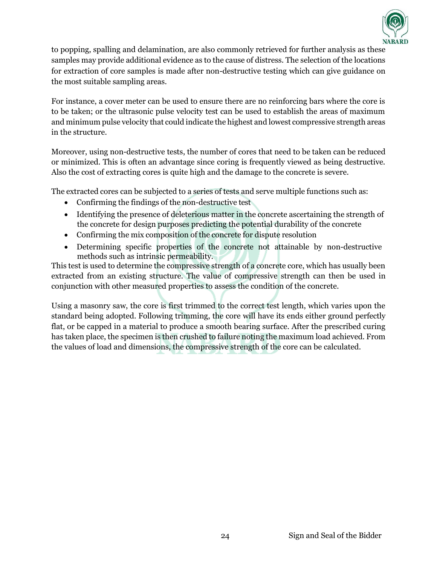

to popping, spalling and delamination, are also commonly retrieved for further analysis as these samples may provide additional evidence as to the cause of distress. The selection of the locations for extraction of core samples is made after non-destructive testing which can give guidance on the most suitable sampling areas.

For instance, a cover meter can be used to ensure there are no reinforcing bars where the core is to be taken; or the ultrasonic pulse velocity test can be used to establish the areas of maximum and minimum pulse velocity that could indicate the highest and lowest compressive strength areas in the structure.

Moreover, using non-destructive tests, the number of cores that need to be taken can be reduced or minimized. This is often an advantage since coring is frequently viewed as being destructive. Also the cost of extracting cores is quite high and the damage to the concrete is severe.

The extracted cores can be subjected to a series of tests and serve multiple functions such as:

- Confirming the findings of the non-destructive test
- Identifying the presence of deleterious matter in the concrete ascertaining the strength of the concrete for design purposes predicting the potential durability of the concrete
- Confirming the mix composition of the concrete for dispute resolution
- Determining specific properties of the concrete not attainable by non-destructive methods such as intrinsic permeability.

This test is used to determine the compressive strength of a concrete core, which has usually been extracted from an existing structure. The value of compressive strength can then be used in conjunction with other measured properties to assess the condition of the concrete.

Using a masonry saw, the core is first trimmed to the correct test length, which varies upon the standard being adopted. Following trimming, the core will have its ends either ground perfectly flat, or be capped in a material to produce a smooth bearing surface. After the prescribed curing has taken place, the specimen is then crushed to failure noting the maximum load achieved. From the values of load and dimensions, the compressive strength of the core can be calculated.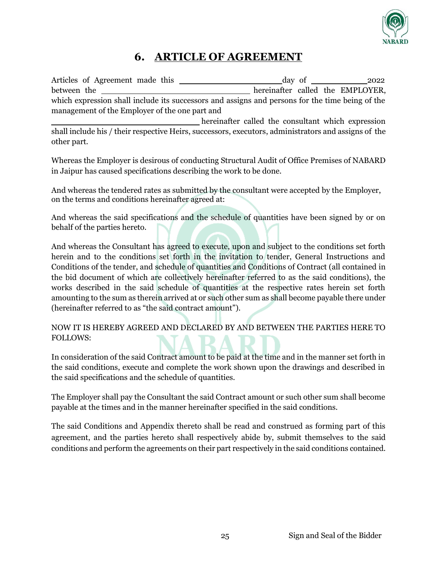

## **6. ARTICLE OF AGREEMENT**

Articles of Agreement made this day of 2022 between the **hereinafter** called the EMPLOYER, which expression shall include its successors and assigns and persons for the time being of the management of the Employer of the one part and hereinafter called the consultant which expression shall include his / their respective Heirs, successors, executors, administrators and assigns of the other part.

Whereas the Employer is desirous of conducting Structural Audit of Office Premises of NABARD in Jaipur has caused specifications describing the work to be done.

And whereas the tendered rates as submitted by the consultant were accepted by the Employer, on the terms and conditions hereinafter agreed at:

And whereas the said specifications and the schedule of quantities have been signed by or on behalf of the parties hereto.

And whereas the Consultant has agreed to execute, upon and subject to the conditions set forth herein and to the conditions set forth in the invitation to tender, General Instructions and Conditions of the tender, and schedule of quantities and Conditions of Contract (all contained in the bid document of which are collectively hereinafter referred to as the said conditions), the works described in the said schedule of quantities at the respective rates herein set forth amounting to the sum as therein arrived at or such other sum as shall become payable there under (hereinafter referred to as "the said contract amount").

NOW IT IS HEREBY AGREED AND DECLARED BY AND BETWEEN THE PARTIES HERE TO FOLLOWS:

In consideration of the said Contract amount to be paid at the time and in the manner set forth in the said conditions, execute and complete the work shown upon the drawings and described in the said specifications and the schedule of quantities.

The Employer shall pay the Consultant the said Contract amount or such other sum shall become payable at the times and in the manner hereinafter specified in the said conditions.

The said Conditions and Appendix thereto shall be read and construed as forming part of this agreement, and the parties hereto shall respectively abide by, submit themselves to the said conditions and perform the agreements on their part respectively in the said conditions contained.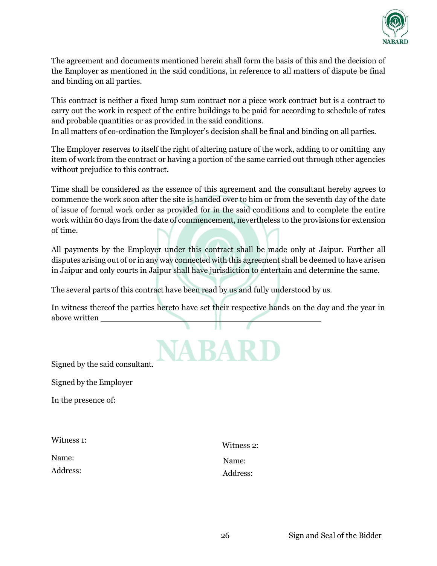

The agreement and documents mentioned herein shall form the basis of this and the decision of the Employer as mentioned in the said conditions, in reference to all matters of dispute be final and binding on all parties.

This contract is neither a fixed lump sum contract nor a piece work contract but is a contract to carry out the work in respect of the entire buildings to be paid for according to schedule of rates and probable quantities or as provided in the said conditions.

In all matters of co-ordination the Employer's decision shall be final and binding on all parties.

The Employer reserves to itself the right of altering nature of the work, adding to or omitting any item of work from the contract or having a portion of the same carried out through other agencies without prejudice to this contract.

Time shall be considered as the essence of this agreement and the consultant hereby agrees to commence the work soon after the site is handed over to him or from the seventh day of the date of issue of formal work order as provided for in the said conditions and to complete the entire work within 60 days from the date of commencement, nevertheless to the provisions for extension of time.

All payments by the Employer under this contract shall be made only at Jaipur. Further all disputes arising out of or in any way connected with this agreement shall be deemed to have arisen in Jaipur and only courts in Jaipur shall have jurisdiction to entertain and determine the same.

The several parts of this contract have been read by us and fully understood by us.

In witness thereof the parties hereto have set their respective hands on the day and the year in above written



Signed by the said consultant.

Signed by the Employer

In the presence of:

| Witness 2: |
|------------|
| Name:      |
| Address:   |
|            |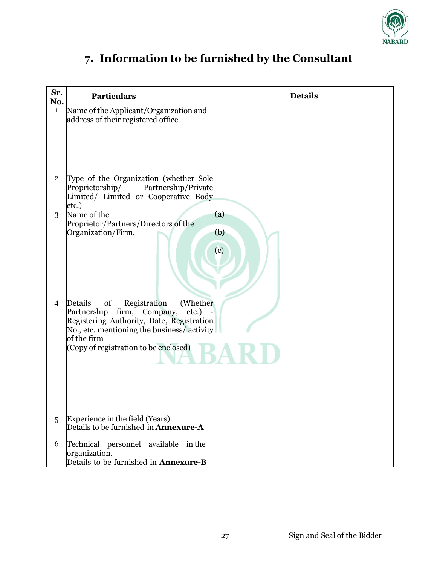

# **7. Information to be furnished by the Consultant**

| Sr.<br>No.     | <b>Particulars</b>                                                                                                                                                                                                                  | <b>Details</b>    |
|----------------|-------------------------------------------------------------------------------------------------------------------------------------------------------------------------------------------------------------------------------------|-------------------|
| $\mathbf{1}$   | Name of the Applicant/Organization and<br>address of their registered office                                                                                                                                                        |                   |
| $\overline{2}$ | Type of the Organization (whether Sole<br>Proprietorship/<br>Partnership/Private<br>Limited/ Limited or Cooperative Body<br>etc.)                                                                                                   |                   |
| 3              | Name of the<br>Proprietor/Partners/Directors of the<br>Organization/Firm.                                                                                                                                                           | (a)<br>(b)<br>(c) |
| $\overline{4}$ | Details<br>of<br>Registration<br>(Whether<br>Partnership firm, Company,<br>etc.)<br>Registering Authority, Date, Registration<br>No., etc. mentioning the business/activity<br>of the firm<br>(Copy of registration to be enclosed) |                   |
| 5              | Experience in the field (Years).<br>Details to be furnished in $\Lambda$ nnexure- $\Lambda$                                                                                                                                         |                   |
| 6              | Technical personnel available in the<br>organization.<br>Details to be furnished in <b>Annexure-B</b>                                                                                                                               |                   |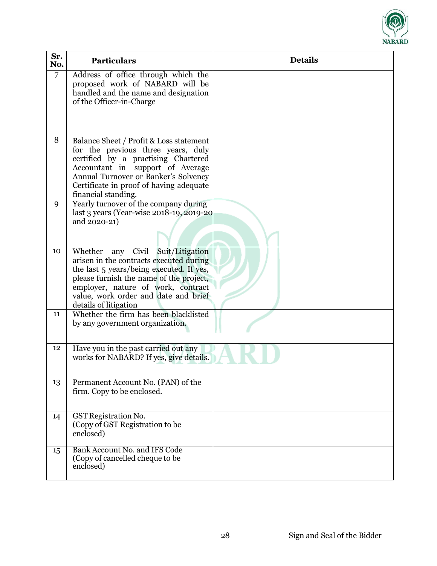

| Sr.<br>No.     | <b>Particulars</b>                                                                                                                                                                                                                                                               | <b>Details</b> |
|----------------|----------------------------------------------------------------------------------------------------------------------------------------------------------------------------------------------------------------------------------------------------------------------------------|----------------|
| $\overline{7}$ | Address of office through which the<br>proposed work of NABARD will be<br>handled and the name and designation<br>of the Officer-in-Charge                                                                                                                                       |                |
| 8              | Balance Sheet / Profit & Loss statement<br>for the previous three years, duly<br>certified by a practising Chartered<br>Accountant in support of Average<br>Annual Turnover or Banker's Solvency<br>Certificate in proof of having adequate<br>financial standing.               |                |
| 9              | Yearly turnover of the company during<br>last 3 years (Year-wise 2018-19, 2019-20<br>and 2020-21)                                                                                                                                                                                |                |
| 10             | Suit/Litigation<br>Whether<br>any Civil<br>arisen in the contracts executed during<br>the last 5 years/being executed. If yes,<br>please furnish the name of the project,<br>employer, nature of work, contract<br>value, work order and date and brief<br>details of litigation |                |
| 11             | Whether the firm has been blacklisted<br>by any government organization.                                                                                                                                                                                                         |                |
| 12             | Have you in the past carried out any<br>works for NABARD? If yes, give details.                                                                                                                                                                                                  |                |
| 13             | Permanent Account No. (PAN) of the<br>firm. Copy to be enclosed.                                                                                                                                                                                                                 |                |
| 14             | <b>GST</b> Registration No.<br>(Copy of GST Registration to be<br>enclosed)                                                                                                                                                                                                      |                |
| 15             | Bank Account No. and IFS Code<br>(Copy of cancelled cheque to be<br>enclosed)                                                                                                                                                                                                    |                |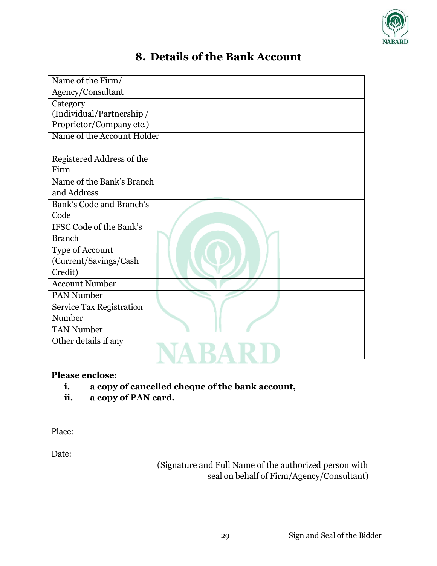

# **8. Details of the Bank Account**

| Name of the Firm/               |  |
|---------------------------------|--|
| Agency/Consultant               |  |
| Category                        |  |
| (Individual/Partnership/        |  |
| Proprietor/Company etc.)        |  |
| Name of the Account Holder      |  |
|                                 |  |
| Registered Address of the       |  |
| Firm                            |  |
| Name of the Bank's Branch       |  |
| and Address                     |  |
| Bank's Code and Branch's        |  |
| Code                            |  |
| <b>IFSC Code of the Bank's</b>  |  |
| <b>Branch</b>                   |  |
| Type of Account                 |  |
| (Current/Savings/Cash           |  |
| Credit)                         |  |
| <b>Account Number</b>           |  |
| <b>PAN Number</b>               |  |
| <b>Service Tax Registration</b> |  |
| Number                          |  |
| <b>TAN Number</b>               |  |
| Other details if any            |  |
|                                 |  |

## **Please enclose:**

- **i. a copy of cancelled cheque of the bank account,**
- **ii. a copy of PAN card.**

Place:

Date:

(Signature and Full Name of the authorized person with seal on behalf of Firm/Agency/Consultant)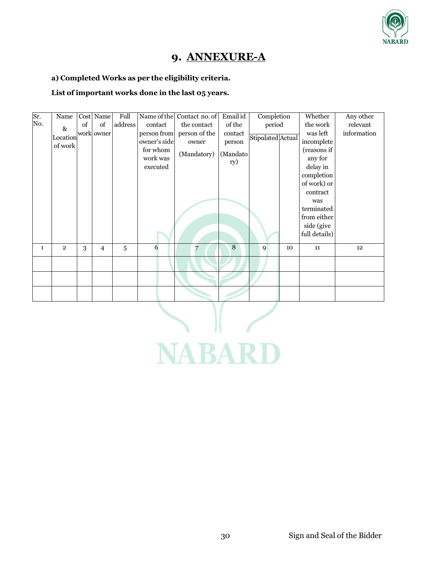

## **9. ANNEXURE-A**

#### **a) Completed Works as per the eligibility criteria.**

#### **List of important works done in the last 05 years.**

| Sr. | Name                        |    | Cost Name      | Full    |              | Name of the Contact no. of | Email id | Completion        |            | Whether       | Any other   |
|-----|-----------------------------|----|----------------|---------|--------------|----------------------------|----------|-------------------|------------|---------------|-------------|
| No. | $\&$                        | of | of             | address | contact      | the contact                | of the   | period            |            | the work      | relevant    |
|     | $\vert$ Location work worer |    |                |         | person from  | person of the              | contact  |                   |            | was left      | information |
|     | of work                     |    |                |         | owner's side | owner                      | person   | Stipulated Actual | incomplete |               |             |
|     |                             |    |                |         | for whom     | (Mandatory)                | (Mandato |                   |            | (reasons if   |             |
|     |                             |    |                |         | work was     |                            | ry)      |                   |            | any for       |             |
|     |                             |    |                |         | executed     |                            |          |                   |            | delay in      |             |
|     |                             |    |                |         |              |                            |          |                   |            | completion    |             |
|     |                             |    |                |         |              |                            |          |                   |            | of work) or   |             |
|     |                             |    |                |         |              |                            |          |                   |            | contract      |             |
|     |                             |    |                |         |              |                            |          |                   |            | was           |             |
|     |                             |    |                |         |              |                            |          |                   |            | terminated    |             |
|     |                             |    |                |         |              |                            |          |                   |            | from either   |             |
|     |                             |    |                |         |              |                            |          |                   |            | side (give    |             |
|     |                             |    |                |         |              |                            |          |                   |            | full details) |             |
| 1   | $\overline{2}$              | 3  | $\overline{4}$ | 5       | 6            | 7                          | 8        | 9                 | 10         | 11            | 12          |
|     |                             |    |                |         |              |                            |          |                   |            |               |             |
|     |                             |    |                |         |              |                            |          |                   |            |               |             |
|     |                             |    |                |         |              |                            |          |                   |            |               |             |
|     |                             |    |                |         |              |                            |          |                   |            |               |             |

**NABARD**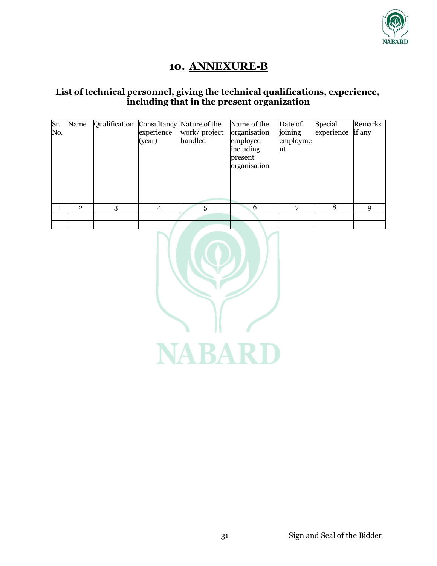

## **10. ANNEXURE-B**

### **List of technical personnel, giving the technical qualifications, experience, including that in the present organization**

| Sr.<br>No. | Name           | Qualification Consultancy Nature of the | experience<br>(year) | work/project<br>handled | Name of the<br>organisation<br>employed<br>including<br>present<br>organisation | Date of<br>joining<br>employme<br>nt | Special<br>experience | Remarks<br>if any |
|------------|----------------|-----------------------------------------|----------------------|-------------------------|---------------------------------------------------------------------------------|--------------------------------------|-----------------------|-------------------|
|            | $\overline{2}$ | 3                                       | 4                    | 5                       | 6                                                                               | 7                                    | 8                     | Q                 |
|            |                |                                         |                      |                         |                                                                                 |                                      |                       |                   |
|            |                |                                         |                      |                         |                                                                                 |                                      |                       |                   |

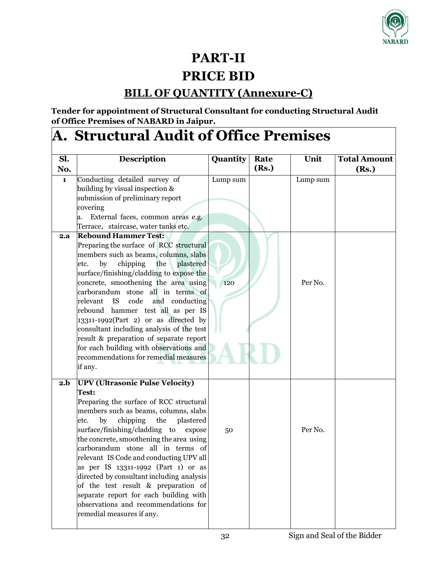

# **PART-II**

# **PRICE BID**

# **BILL OF QUANTITY (Annexure-C)**

**Tender for appointment of Structural Consultant for conducting Structural Audit of Office Premises of NABARD in Jaipur.**

# **A. Structural Audit of Office Premises**

| Sl. | <b>Description</b>                                                                                                                                                                                                                                                                                                                                                                                                                                                                                                                                                                                 | Quantity | Rate  | Unit     | <b>Total Amount</b> |
|-----|----------------------------------------------------------------------------------------------------------------------------------------------------------------------------------------------------------------------------------------------------------------------------------------------------------------------------------------------------------------------------------------------------------------------------------------------------------------------------------------------------------------------------------------------------------------------------------------------------|----------|-------|----------|---------------------|
| No. |                                                                                                                                                                                                                                                                                                                                                                                                                                                                                                                                                                                                    |          | (Rs.) |          | (Rs.)               |
| 1   | Conducting detailed survey of<br>building by visual inspection &<br>submission of preliminary report<br>covering<br>External faces, common areas e.g.<br>a.<br>Terrace, staircase, water tanks etc.                                                                                                                                                                                                                                                                                                                                                                                                | Lump sum |       | Lump sum |                     |
| 2.a | <b>Rebound Hammer Test:</b>                                                                                                                                                                                                                                                                                                                                                                                                                                                                                                                                                                        |          |       |          |                     |
|     | Preparing the surface of RCC structural<br>members such as beams, columns, slabs<br>the<br>plastered<br>by<br>chipping<br>etc.<br>surface/finishing/cladding to expose the<br>concrete, smoothening the area using<br>carborandum stone all in terms of<br>relevant<br>IS<br>code<br>and conducting<br>rebound hammer test all as per IS<br>13311-1992(Part 2) or as directed by<br>consultant including analysis of the test<br>result & preparation of separate report<br>for each building with observations and<br>recommendations for remedial measures<br>if any.                            | 120      |       | Per No.  |                     |
| 2.b | <b>UPV (Ultrasonic Pulse Velocity)</b><br>Test:<br>Preparing the surface of RCC structural<br>members such as beams, columns, slabs<br>by<br>chipping<br>the<br>plastered<br>etc.<br>surface/finishing/cladding to<br>expose<br>the concrete, smoothening the area using<br>carborandum stone all in terms of<br>relevant IS Code and conducting UPV all<br>as per IS 13311-1992 (Part 1) or as<br>directed by consultant including analysis<br>of the test result & preparation of<br>separate report for each building with<br>observations and recommendations for<br>remedial measures if any. | 50       |       | Per No.  |                     |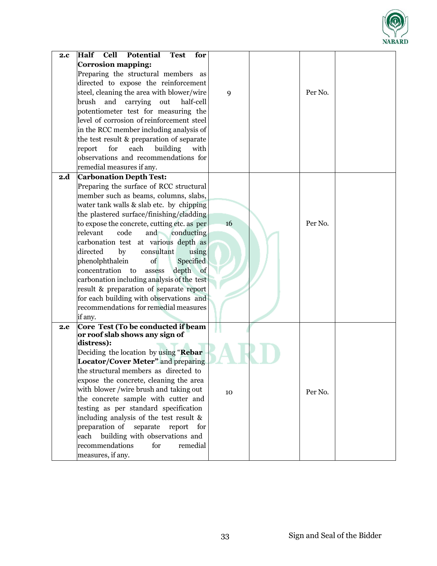

| 2.c | Cell<br>Potential<br>Half<br><b>Test</b><br>for   |    |         |  |
|-----|---------------------------------------------------|----|---------|--|
|     | <b>Corrosion mapping:</b>                         |    |         |  |
|     | Preparing the structural members as               |    |         |  |
|     | directed to expose the reinforcement              |    |         |  |
|     | steel, cleaning the area with blower/wire         | 9  | Per No. |  |
|     | brush<br>and carrying<br>out<br>half-cell         |    |         |  |
|     | potentiometer test for measuring the              |    |         |  |
|     | level of corrosion of reinforcement steel         |    |         |  |
|     | in the RCC member including analysis of           |    |         |  |
|     | the test result & preparation of separate         |    |         |  |
|     | each<br>building<br>report<br>for<br>with         |    |         |  |
|     | observations and recommendations for              |    |         |  |
|     | remedial measures if any.                         |    |         |  |
| 2.d | <b>Carbonation Depth Test:</b>                    |    |         |  |
|     | Preparing the surface of RCC structural           |    |         |  |
|     | member such as beams, columns, slabs,             |    |         |  |
|     | water tank walls & slab etc. by chipping          |    |         |  |
|     | the plastered surface/finishing/cladding          |    |         |  |
|     | to expose the concrete, cutting etc. as per       | 16 | Per No. |  |
|     | relevant<br>and conducting<br>code                |    |         |  |
|     | carbonation test at various depth as              |    |         |  |
|     | directed<br>by<br>consultant<br>using             |    |         |  |
|     | phenolphthalein<br>of<br>Specified                |    |         |  |
|     | depth<br>concentration to<br>$\circ$ of<br>assess |    |         |  |
|     | carbonation including analysis of the test        |    |         |  |
|     | result & preparation of separate report           |    |         |  |
|     | for each building with observations and           |    |         |  |
|     | recommendations for remedial measures             |    |         |  |
|     | if any.                                           |    |         |  |
| 2.e | Core Test (To be conducted if beam                |    |         |  |
|     | or roof slab shows any sign of                    |    |         |  |
|     | distress):                                        |    |         |  |
|     | Deciding the location by using "Rebar             |    |         |  |
|     | Locator/Cover Meter" and preparing                |    |         |  |
|     | the structural members as directed to             |    |         |  |
|     | expose the concrete, cleaning the area            |    |         |  |
|     | with blower /wire brush and taking out            | 10 | Per No. |  |
|     | the concrete sample with cutter and               |    |         |  |
|     | testing as per standard specification             |    |         |  |
|     | including analysis of the test result &           |    |         |  |
|     | preparation of<br>separate<br>report<br>for       |    |         |  |
|     | building with observations and<br>each            |    |         |  |
|     | recommendations<br>for<br>remedial                |    |         |  |
|     | measures, if any.                                 |    |         |  |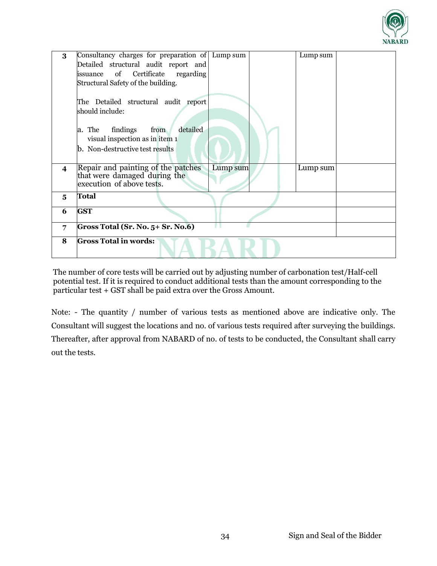

| 3                       | Consultancy charges for preparation of Lump sum<br>Detailed structural audit report and         |          | Lump sum |  |
|-------------------------|-------------------------------------------------------------------------------------------------|----------|----------|--|
|                         | of<br>Certificate regarding<br>issuance                                                         |          |          |  |
|                         | Structural Safety of the building.                                                              |          |          |  |
|                         | The Detailed structural audit report                                                            |          |          |  |
|                         | should include:                                                                                 |          |          |  |
|                         | detailed<br>a. The<br>findings<br>from                                                          |          |          |  |
|                         | visual inspection as in item 1                                                                  |          |          |  |
|                         | b. Non-destructive test results                                                                 |          |          |  |
|                         |                                                                                                 |          |          |  |
| $\overline{\mathbf{4}}$ | Repair and painting of the patches<br>that were damaged during the<br>execution of above tests. | Lump sum | Lump sum |  |
| 5                       | <b>Total</b>                                                                                    |          |          |  |
| 6                       | <b>GST</b>                                                                                      |          |          |  |
| 7                       | Gross Total (Sr. No. 5+ Sr. No.6)                                                               |          |          |  |
| 8                       | <b>Gross Total in words:</b>                                                                    |          |          |  |

The number of core tests will be carried out by adjusting number of carbonation test/Half-cell potential test. If it is required to conduct additional tests than the amount corresponding to the particular test + GST shall be paid extra over the Gross Amount.

Note: - The quantity / number of various tests as mentioned above are indicative only. The Consultant will suggest the locations and no. of various tests required after surveying the buildings. Thereafter, after approval from NABARD of no. of tests to be conducted, the Consultant shall carry out the tests.